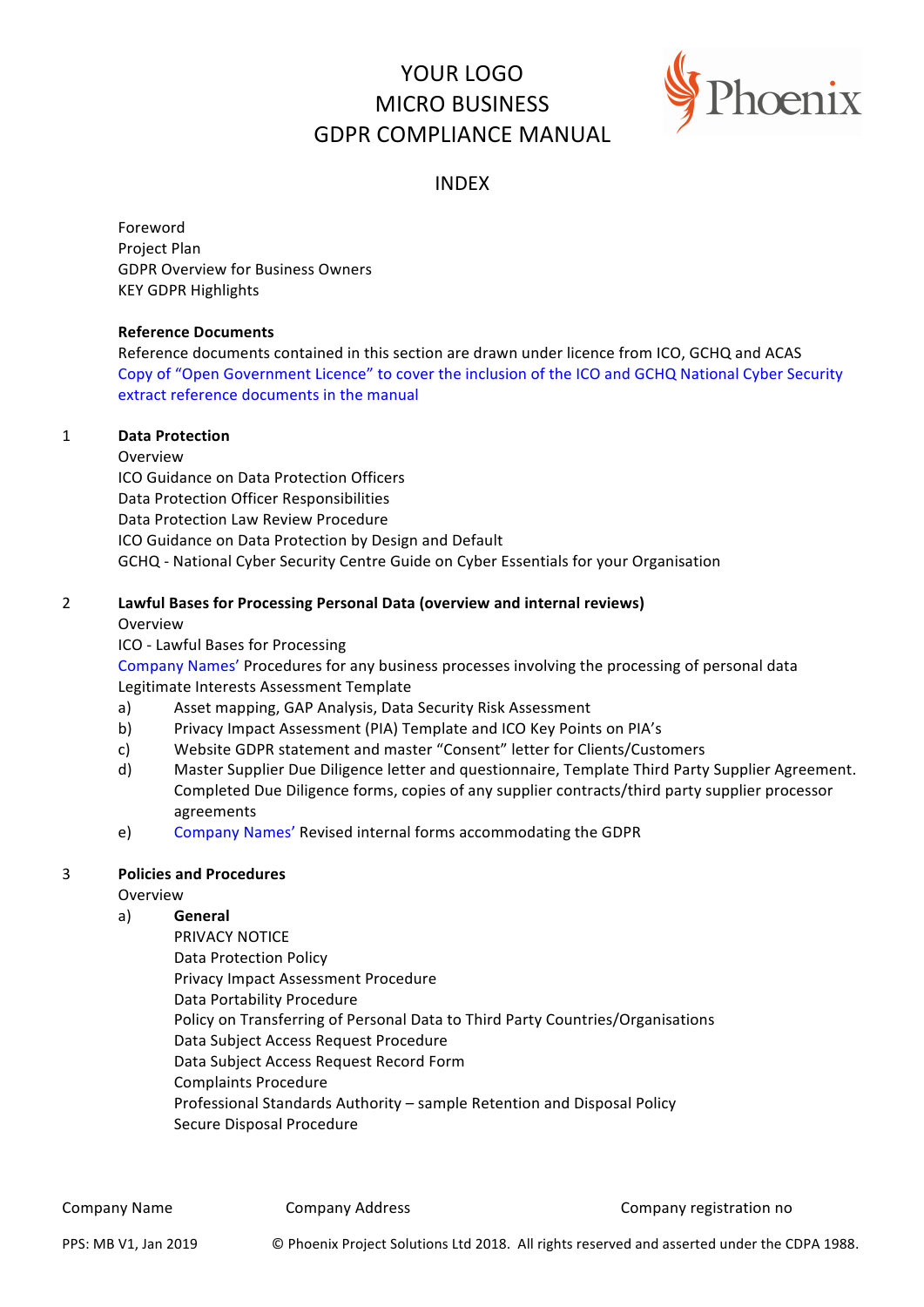# YOUR LOGO MICRO BUSINESS GDPR COMPLIANCE MANUAL



# INDEX

Foreword Project Plan GDPR Overview for Business Owners **KEY GDPR Highlights** 

#### **Reference Documents**

Reference documents contained in this section are drawn under licence from ICO, GCHQ and ACAS Copy of "Open Government Licence" to cover the inclusion of the ICO and GCHQ National Cyber Security extract reference documents in the manual

#### 1 **Data Protection**

Overview ICO Guidance on Data Protection Officers Data Protection Officer Responsibilities Data Protection Law Review Procedure ICO Guidance on Data Protection by Design and Default GCHQ - National Cyber Security Centre Guide on Cyber Essentials for your Organisation

# 2 Lawful Bases for Processing Personal Data (overview and internal reviews)

#### Overview

ICO - Lawful Bases for Processing

Company Names' Procedures for any business processes involving the processing of personal data Legitimate Interests Assessment Template

- a) Asset mapping, GAP Analysis, Data Security Risk Assessment
- b) Privacy Impact Assessment (PIA) Template and ICO Key Points on PIA's
- c) Website GDPR statement and master "Consent" letter for Clients/Customers
- d) Master Supplier Due Diligence letter and questionnaire, Template Third Party Supplier Agreement. Completed Due Diligence forms, copies of any supplier contracts/third party supplier processor agreements
- e) Company Names' Revised internal forms accommodating the GDPR

# **3 Policies and Procedures**

# Overview

# a) **General**

PRIVACY NOTICE Data Protection Policy Privacy Impact Assessment Procedure Data Portability Procedure Policy on Transferring of Personal Data to Third Party Countries/Organisations Data Subject Access Request Procedure Data Subject Access Request Record Form Complaints Procedure Professional Standards Authority – sample Retention and Disposal Policy Secure Disposal Procedure

Company Name **Company Address** Company Company Company registration no